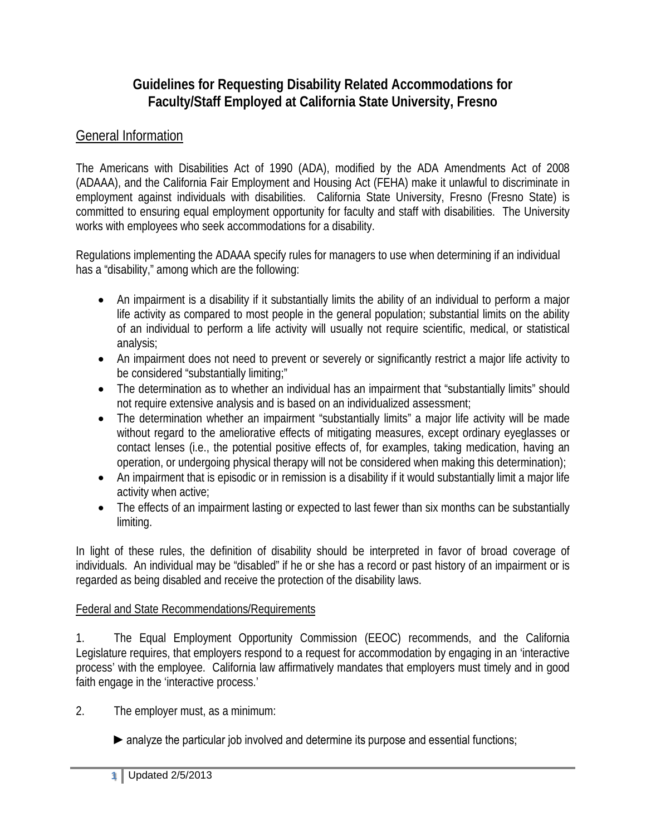# **Guidelines for Requesting Disability Related Accommodations for Faculty/Staff Employed at California State University, Fresno**

# General Information

The Americans with Disabilities Act of 1990 (ADA), modified by the ADA Amendments Act of 2008 (ADAAA), and the California Fair Employment and Housing Act (FEHA) make it unlawful to discriminate in employment against individuals with disabilities. California State University, Fresno (Fresno State) is committed to ensuring equal employment opportunity for faculty and staff with disabilities. The University works with employees who seek accommodations for a disability.

Regulations implementing the ADAAA specify rules for managers to use when determining if an individual has a "disability," among which are the following:

- An impairment is a disability if it substantially limits the ability of an individual to perform a major life activity as compared to most people in the general population; substantial limits on the ability of an individual to perform a life activity will usually not require scientific, medical, or statistical analysis;
- An impairment does not need to prevent or severely or significantly restrict a major life activity to be considered "substantially limiting;"
- The determination as to whether an individual has an impairment that "substantially limits" should not require extensive analysis and is based on an individualized assessment;
- The determination whether an impairment "substantially limits" a major life activity will be made without regard to the ameliorative effects of mitigating measures, except ordinary eyeglasses or contact lenses (i.e., the potential positive effects of, for examples, taking medication, having an operation, or undergoing physical therapy will not be considered when making this determination);
- An impairment that is episodic or in remission is a disability if it would substantially limit a major life activity when active;
- The effects of an impairment lasting or expected to last fewer than six months can be substantially limiting.

In light of these rules, the definition of disability should be interpreted in favor of broad coverage of individuals. An individual may be "disabled" if he or she has a record or past history of an impairment or is regarded as being disabled and receive the protection of the disability laws.

### Federal and State Recommendations/Requirements

1. The Equal Employment Opportunity Commission (EEOC) recommends, and the California Legislature requires, that employers respond to a request for accommodation by engaging in an 'interactive process' with the employee. California law affirmatively mandates that employers must timely and in good faith engage in the 'interactive process.'

2. The employer must, as a minimum:

► analyze the particular job involved and determine its purpose and essential functions;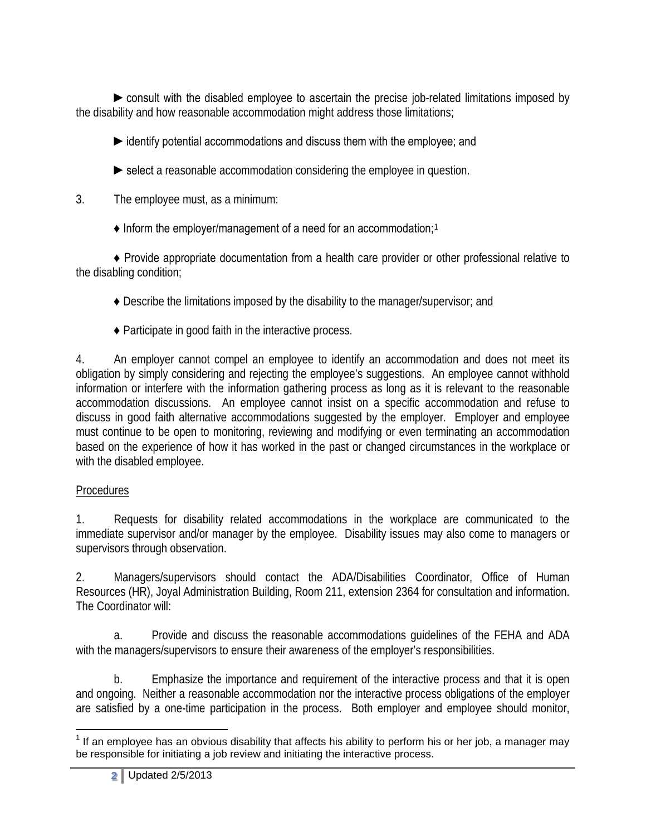►consult with the disabled employee to ascertain the precise job-related limitations imposed by the disability and how reasonable accommodation might address those limitations;

►identify potential accommodations and discuss them with the employee; and

- $\triangleright$  select a reasonable accommodation considering the employee in question.
- 3. The employee must, as a minimum:
	- $\triangle$  Inform the employer/management of a need for an accommodation;<sup>[1](#page-1-0)</sup>

♦ Provide appropriate documentation from a health care provider or other professional relative to the disabling condition;

- ♦ Describe the limitations imposed by the disability to the manager/supervisor; and
- ♦ Participate in good faith in the interactive process.

4. An employer cannot compel an employee to identify an accommodation and does not meet its obligation by simply considering and rejecting the employee's suggestions. An employee cannot withhold information or interfere with the information gathering process as long as it is relevant to the reasonable accommodation discussions. An employee cannot insist on a specific accommodation and refuse to discuss in good faith alternative accommodations suggested by the employer. Employer and employee must continue to be open to monitoring, reviewing and modifying or even terminating an accommodation based on the experience of how it has worked in the past or changed circumstances in the workplace or with the disabled employee.

## Procedures

1. Requests for disability related accommodations in the workplace are communicated to the immediate supervisor and/or manager by the employee. Disability issues may also come to managers or supervisors through observation.

2. Managers/supervisors should contact the ADA/Disabilities Coordinator, Office of Human Resources (HR), Joyal Administration Building, Room 211, extension 2364 for consultation and information. The Coordinator will:

a. Provide and discuss the reasonable accommodations guidelines of the FEHA and ADA with the managers/supervisors to ensure their awareness of the employer's responsibilities.

b. Emphasize the importance and requirement of the interactive process and that it is open and ongoing. Neither a reasonable accommodation nor the interactive process obligations of the employer are satisfied by a one-time participation in the process. Both employer and employee should monitor,

<span id="page-1-0"></span> $<sup>1</sup>$  If an employee has an obvious disability that affects his ability to perform his or her job, a manager may</sup> be responsible for initiating a job review and initiating the interactive process.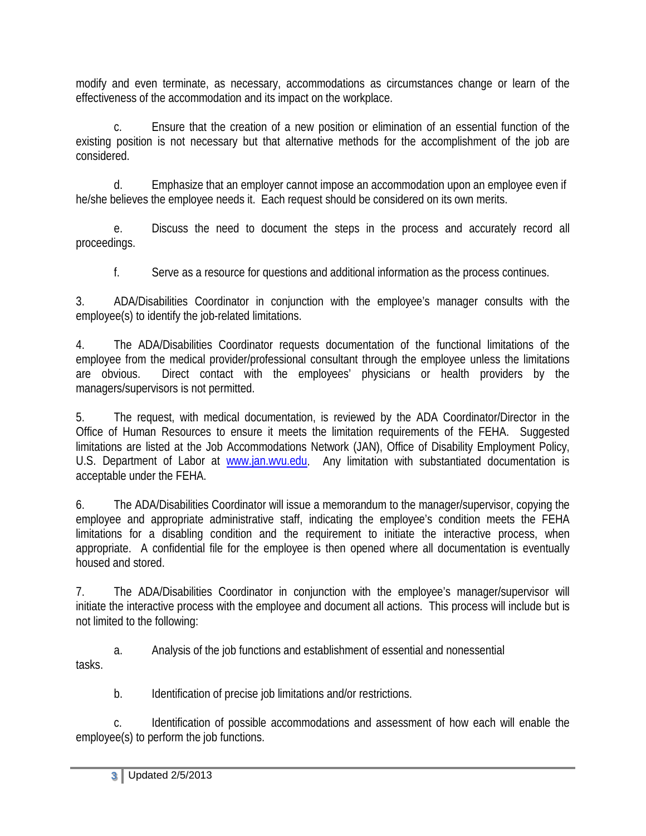modify and even terminate, as necessary, accommodations as circumstances change or learn of the effectiveness of the accommodation and its impact on the workplace.

c. Ensure that the creation of a new position or elimination of an essential function of the existing position is not necessary but that alternative methods for the accomplishment of the job are considered.

d. Emphasize that an employer cannot impose an accommodation upon an employee even if he/she believes the employee needs it. Each request should be considered on its own merits.

e. Discuss the need to document the steps in the process and accurately record all proceedings.

f. Serve as a resource for questions and additional information as the process continues.

3. ADA/Disabilities Coordinator in conjunction with the employee's manager consults with the employee(s) to identify the job-related limitations.

4. The ADA/Disabilities Coordinator requests documentation of the functional limitations of the employee from the medical provider/professional consultant through the employee unless the limitations are obvious. Direct contact with the employees' physicians or health providers by the managers/supervisors is not permitted.

5. The request, with medical documentation, is reviewed by the ADA Coordinator/Director in the Office of Human Resources to ensure it meets the limitation requirements of the FEHA. Suggested limitations are listed at the Job Accommodations Network (JAN), Office of Disability Employment Policy, U.S. Department of Labor at [www.jan.wvu.edu.](http://www.jan.wvu.edu/) Any limitation with substantiated documentation is acceptable under the FEHA.

6. The ADA/Disabilities Coordinator will issue a memorandum to the manager/supervisor, copying the employee and appropriate administrative staff, indicating the employee's condition meets the FEHA limitations for a disabling condition and the requirement to initiate the interactive process, when appropriate. A confidential file for the employee is then opened where all documentation is eventually housed and stored.

7. The ADA/Disabilities Coordinator in conjunction with the employee's manager/supervisor will initiate the interactive process with the employee and document all actions. This process will include but is not limited to the following:

a. Analysis of the job functions and establishment of essential and nonessential tasks.

b. Identification of precise job limitations and/or restrictions.

c. Identification of possible accommodations and assessment of how each will enable the employee(s) to perform the job functions.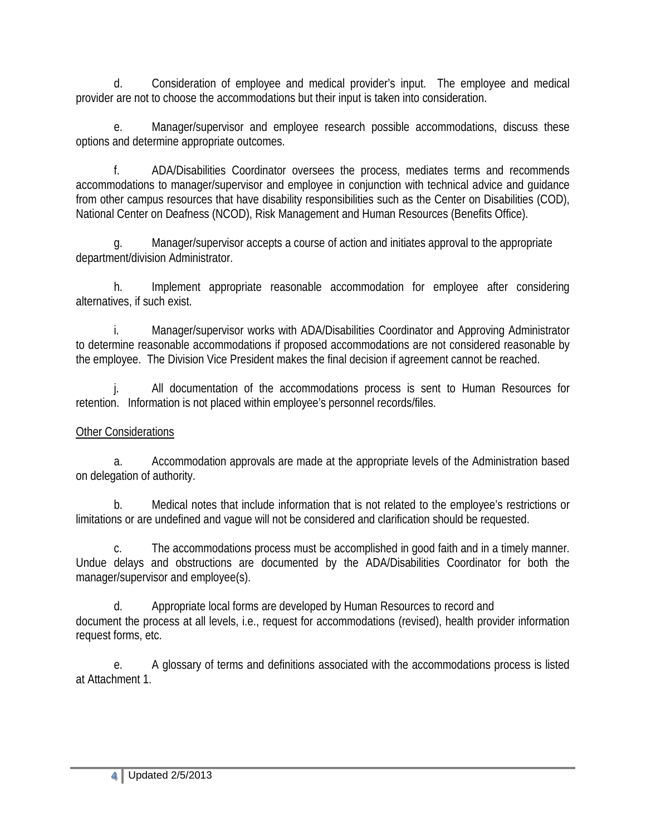d. Consideration of employee and medical provider's input. The employee and medical provider are not to choose the accommodations but their input is taken into consideration.

e. Manager/supervisor and employee research possible accommodations, discuss these options and determine appropriate outcomes.

f. ADA/Disabilities Coordinator oversees the process, mediates terms and recommends accommodations to manager/supervisor and employee in conjunction with technical advice and guidance from other campus resources that have disability responsibilities such as the Center on Disabilities (COD), National Center on Deafness (NCOD), Risk Management and Human Resources (Benefits Office).

g. Manager/supervisor accepts a course of action and initiates approval to the appropriate department/division Administrator.

h. Implement appropriate reasonable accommodation for employee after considering alternatives, if such exist.

i. Manager/supervisor works with ADA/Disabilities Coordinator and Approving Administrator to determine reasonable accommodations if proposed accommodations are not considered reasonable by the employee. The Division Vice President makes the final decision if agreement cannot be reached.

j. All documentation of the accommodations process is sent to Human Resources for retention. Information is not placed within employee's personnel records/files.

#### Other Considerations

a. Accommodation approvals are made at the appropriate levels of the Administration based on delegation of authority.

b. Medical notes that include information that is not related to the employee's restrictions or limitations or are undefined and vague will not be considered and clarification should be requested.

c. The accommodations process must be accomplished in good faith and in a timely manner. Undue delays and obstructions are documented by the ADA/Disabilities Coordinator for both the manager/supervisor and employee(s).

d. Appropriate local forms are developed by Human Resources to record and document the process at all levels, i.e., request for accommodations (revised), health provider information request forms, etc.

e. A glossary of terms and definitions associated with the accommodations process is listed at Attachment 1.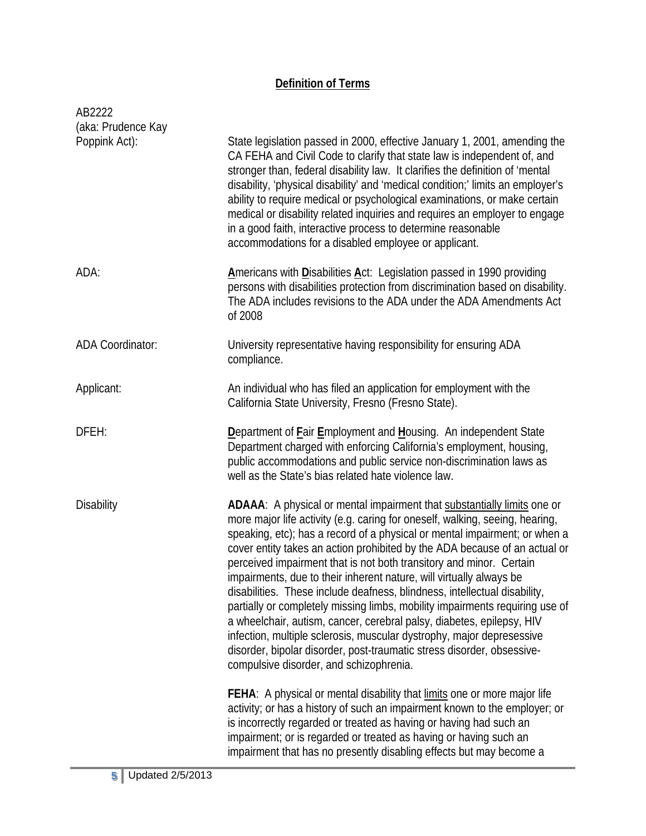## **Definition of Terms**

| AB2222                              |                                                                                                                                                                                                                                                                                                                                                                                                                                                                                                                                                                                                                                                                                                                                                                                                                                                                                                       |
|-------------------------------------|-------------------------------------------------------------------------------------------------------------------------------------------------------------------------------------------------------------------------------------------------------------------------------------------------------------------------------------------------------------------------------------------------------------------------------------------------------------------------------------------------------------------------------------------------------------------------------------------------------------------------------------------------------------------------------------------------------------------------------------------------------------------------------------------------------------------------------------------------------------------------------------------------------|
| (aka: Prudence Kay<br>Poppink Act): | State legislation passed in 2000, effective January 1, 2001, amending the<br>CA FEHA and Civil Code to clarify that state law is independent of, and<br>stronger than, federal disability law. It clarifies the definition of 'mental<br>disability, 'physical disability' and 'medical condition;' limits an employer's<br>ability to require medical or psychological examinations, or make certain<br>medical or disability related inquiries and requires an employer to engage<br>in a good faith, interactive process to determine reasonable<br>accommodations for a disabled employee or applicant.                                                                                                                                                                                                                                                                                           |
| ADA:                                | Americans with Disabilities Act: Legislation passed in 1990 providing<br>persons with disabilities protection from discrimination based on disability.<br>The ADA includes revisions to the ADA under the ADA Amendments Act<br>of 2008                                                                                                                                                                                                                                                                                                                                                                                                                                                                                                                                                                                                                                                               |
| <b>ADA Coordinator:</b>             | University representative having responsibility for ensuring ADA<br>compliance.                                                                                                                                                                                                                                                                                                                                                                                                                                                                                                                                                                                                                                                                                                                                                                                                                       |
| Applicant:                          | An individual who has filed an application for employment with the<br>California State University, Fresno (Fresno State).                                                                                                                                                                                                                                                                                                                                                                                                                                                                                                                                                                                                                                                                                                                                                                             |
| DFEH:                               | Department of <b>Fair Employment and Housing.</b> An independent State<br>Department charged with enforcing California's employment, housing,<br>public accommodations and public service non-discrimination laws as<br>well as the State's bias related hate violence law.                                                                                                                                                                                                                                                                                                                                                                                                                                                                                                                                                                                                                           |
| <b>Disability</b>                   | ADAAA: A physical or mental impairment that substantially limits one or<br>more major life activity (e.g. caring for oneself, walking, seeing, hearing,<br>speaking, etc); has a record of a physical or mental impairment; or when a<br>cover entity takes an action prohibited by the ADA because of an actual or<br>perceived impairment that is not both transitory and minor. Certain<br>impairments, due to their inherent nature, will virtually always be<br>disabilities. These include deafness, blindness, intellectual disability,<br>partially or completely missing limbs, mobility impairments requiring use of<br>a wheelchair, autism, cancer, cerebral palsy, diabetes, epilepsy, HIV<br>infection, multiple sclerosis, muscular dystrophy, major depresessive<br>disorder, bipolar disorder, post-traumatic stress disorder, obsessive-<br>compulsive disorder, and schizophrenia. |
|                                     | FEHA: A physical or mental disability that limits one or more major life<br>activity; or has a history of such an impairment known to the employer; or<br>is incorrectly regarded or treated as having or having had such an<br>impairment; or is regarded or treated as having or having such an<br>impairment that has no presently disabling effects but may become a                                                                                                                                                                                                                                                                                                                                                                                                                                                                                                                              |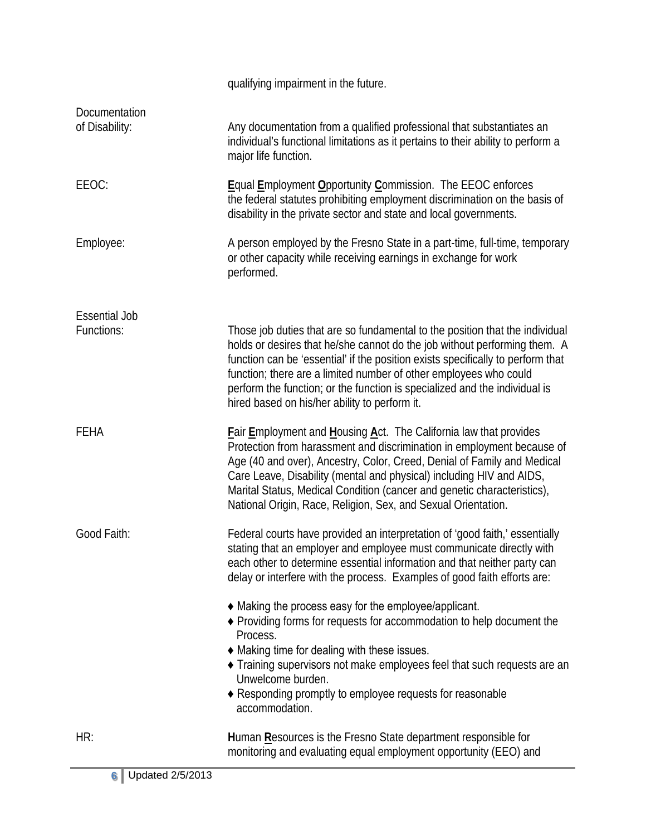|                                    | qualifying impairment in the future.                                                                                                                                                                                                                                                                                                                                                                                                             |
|------------------------------------|--------------------------------------------------------------------------------------------------------------------------------------------------------------------------------------------------------------------------------------------------------------------------------------------------------------------------------------------------------------------------------------------------------------------------------------------------|
| Documentation<br>of Disability:    | Any documentation from a qualified professional that substantiates an<br>individual's functional limitations as it pertains to their ability to perform a<br>major life function.                                                                                                                                                                                                                                                                |
| EEOC:                              | Equal Employment Opportunity Commission. The EEOC enforces<br>the federal statutes prohibiting employment discrimination on the basis of<br>disability in the private sector and state and local governments.                                                                                                                                                                                                                                    |
| Employee:                          | A person employed by the Fresno State in a part-time, full-time, temporary<br>or other capacity while receiving earnings in exchange for work<br>performed.                                                                                                                                                                                                                                                                                      |
| <b>Essential Job</b><br>Functions: | Those job duties that are so fundamental to the position that the individual<br>holds or desires that he/she cannot do the job without performing them. A<br>function can be 'essential' if the position exists specifically to perform that<br>function; there are a limited number of other employees who could<br>perform the function; or the function is specialized and the individual is<br>hired based on his/her ability to perform it. |
| <b>FEHA</b>                        | Fair Employment and Housing Act. The California law that provides<br>Protection from harassment and discrimination in employment because of<br>Age (40 and over), Ancestry, Color, Creed, Denial of Family and Medical<br>Care Leave, Disability (mental and physical) including HIV and AIDS,<br>Marital Status, Medical Condition (cancer and genetic characteristics),<br>National Origin, Race, Religion, Sex, and Sexual Orientation.       |
| Good Faith:                        | Federal courts have provided an interpretation of 'good faith,' essentially<br>stating that an employer and employee must communicate directly with<br>each other to determine essential information and that neither party can<br>delay or interfere with the process. Examples of good faith efforts are:<br>• Making the process easy for the employee/applicant.                                                                             |
|                                    | ◆ Providing forms for requests for accommodation to help document the<br>Process.<br>♦ Making time for dealing with these issues.<br>Training supervisors not make employees feel that such requests are an<br>Unwelcome burden.<br>◆ Responding promptly to employee requests for reasonable<br>accommodation.                                                                                                                                  |
| HR:                                | Human Resources is the Fresno State department responsible for<br>monitoring and evaluating equal employment opportunity (EEO) and                                                                                                                                                                                                                                                                                                               |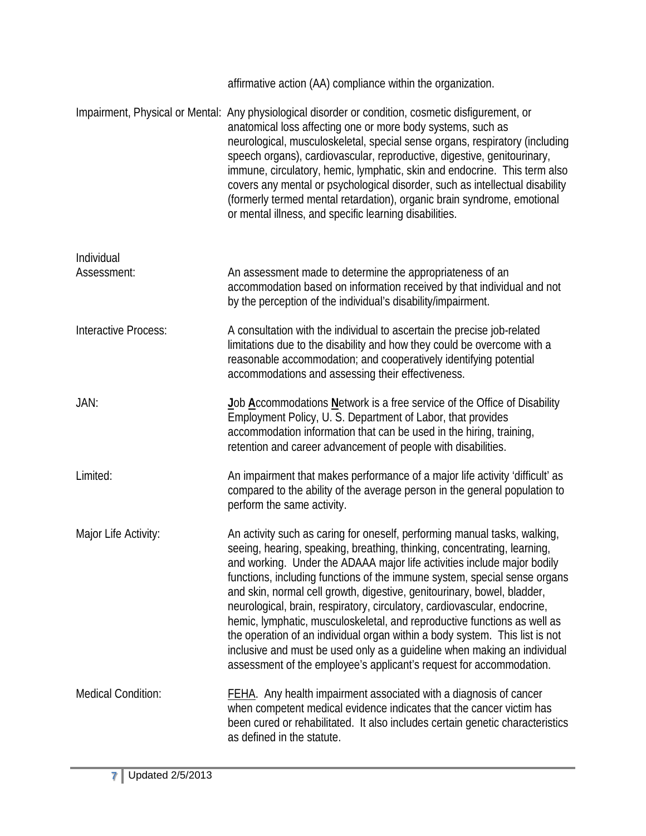|                           | affirmative action (AA) compliance within the organization.                                                                                                                                                                                                                                                                                                                                                                                                                                                                                                                                                                                                                                                                                                                        |
|---------------------------|------------------------------------------------------------------------------------------------------------------------------------------------------------------------------------------------------------------------------------------------------------------------------------------------------------------------------------------------------------------------------------------------------------------------------------------------------------------------------------------------------------------------------------------------------------------------------------------------------------------------------------------------------------------------------------------------------------------------------------------------------------------------------------|
|                           | Impairment, Physical or Mental: Any physiological disorder or condition, cosmetic disfigurement, or<br>anatomical loss affecting one or more body systems, such as<br>neurological, musculoskeletal, special sense organs, respiratory (including<br>speech organs), cardiovascular, reproductive, digestive, genitourinary,<br>immune, circulatory, hemic, lymphatic, skin and endocrine. This term also<br>covers any mental or psychological disorder, such as intellectual disability<br>(formerly termed mental retardation), organic brain syndrome, emotional<br>or mental illness, and specific learning disabilities.                                                                                                                                                     |
| Individual<br>Assessment: | An assessment made to determine the appropriateness of an<br>accommodation based on information received by that individual and not<br>by the perception of the individual's disability/impairment.                                                                                                                                                                                                                                                                                                                                                                                                                                                                                                                                                                                |
| Interactive Process:      | A consultation with the individual to ascertain the precise job-related<br>limitations due to the disability and how they could be overcome with a<br>reasonable accommodation; and cooperatively identifying potential<br>accommodations and assessing their effectiveness.                                                                                                                                                                                                                                                                                                                                                                                                                                                                                                       |
| JAN:                      | Job Accommodations Network is a free service of the Office of Disability<br>Employment Policy, U. S. Department of Labor, that provides<br>accommodation information that can be used in the hiring, training,<br>retention and career advancement of people with disabilities.                                                                                                                                                                                                                                                                                                                                                                                                                                                                                                    |
| Limited:                  | An impairment that makes performance of a major life activity 'difficult' as<br>compared to the ability of the average person in the general population to<br>perform the same activity.                                                                                                                                                                                                                                                                                                                                                                                                                                                                                                                                                                                           |
| Major Life Activity:      | An activity such as caring for oneself, performing manual tasks, walking,<br>seeing, hearing, speaking, breathing, thinking, concentrating, learning<br>and working. Under the ADAAA major life activities include major bodily<br>functions, including functions of the immune system, special sense organs<br>and skin, normal cell growth, digestive, genitourinary, bowel, bladder,<br>neurological, brain, respiratory, circulatory, cardiovascular, endocrine,<br>hemic, lymphatic, musculoskeletal, and reproductive functions as well as<br>the operation of an individual organ within a body system. This list is not<br>inclusive and must be used only as a quideline when making an individual<br>assessment of the employee's applicant's request for accommodation. |
| <b>Medical Condition:</b> | <b>FEHA.</b> Any health impairment associated with a diagnosis of cancer<br>when competent medical evidence indicates that the cancer victim has<br>been cured or rehabilitated. It also includes certain genetic characteristics<br>as defined in the statute.                                                                                                                                                                                                                                                                                                                                                                                                                                                                                                                    |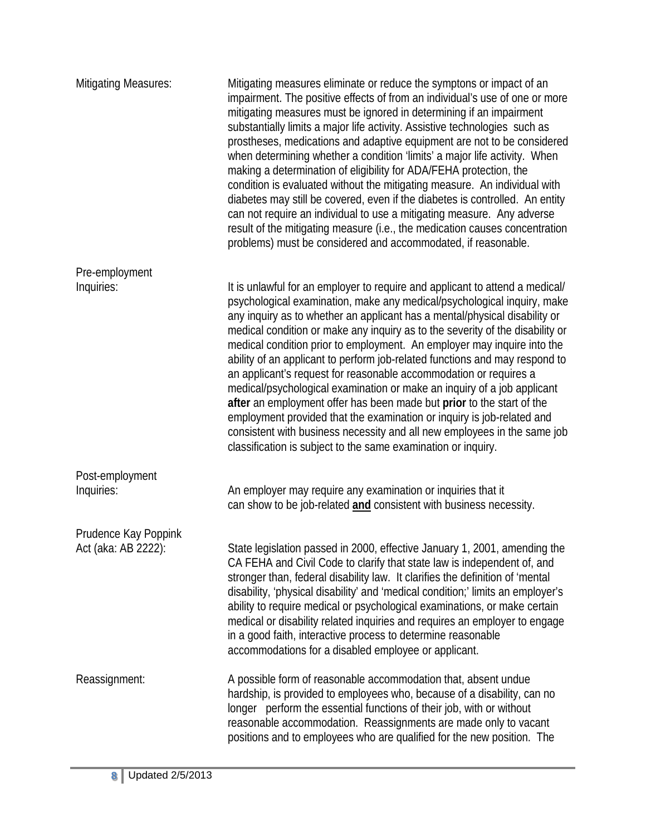| <b>Mitigating Measures:</b> | Mitigating measures eliminate or reduce the symptons or impact of an<br>impairment. The positive effects of from an individual's use of one or more<br>mitigating measures must be ignored in determining if an impairment<br>substantially limits a major life activity. Assistive technologies such as<br>prostheses, medications and adaptive equipment are not to be considered<br>when determining whether a condition 'limits' a major life activity. When<br>making a determination of eligibility for ADA/FEHA protection, the<br>condition is evaluated without the mitigating measure. An individual with<br>diabetes may still be covered, even if the diabetes is controlled. An entity<br>can not require an individual to use a mitigating measure. Any adverse<br>result of the mitigating measure (i.e., the medication causes concentration<br>problems) must be considered and accommodated, if reasonable.    |
|-----------------------------|----------------------------------------------------------------------------------------------------------------------------------------------------------------------------------------------------------------------------------------------------------------------------------------------------------------------------------------------------------------------------------------------------------------------------------------------------------------------------------------------------------------------------------------------------------------------------------------------------------------------------------------------------------------------------------------------------------------------------------------------------------------------------------------------------------------------------------------------------------------------------------------------------------------------------------|
| Pre-employment              |                                                                                                                                                                                                                                                                                                                                                                                                                                                                                                                                                                                                                                                                                                                                                                                                                                                                                                                                  |
| Inquiries:                  | It is unlawful for an employer to require and applicant to attend a medical/<br>psychological examination, make any medical/psychological inquiry, make<br>any inquiry as to whether an applicant has a mental/physical disability or<br>medical condition or make any inquiry as to the severity of the disability or<br>medical condition prior to employment. An employer may inquire into the<br>ability of an applicant to perform job-related functions and may respond to<br>an applicant's request for reasonable accommodation or requires a<br>medical/psychological examination or make an inquiry of a job applicant<br>after an employment offer has been made but prior to the start of the<br>employment provided that the examination or inquiry is job-related and<br>consistent with business necessity and all new employees in the same job<br>classification is subject to the same examination or inquiry. |
| Post-employment             |                                                                                                                                                                                                                                                                                                                                                                                                                                                                                                                                                                                                                                                                                                                                                                                                                                                                                                                                  |
| Inquiries:                  | An employer may require any examination or inquiries that it<br>can show to be job-related and consistent with business necessity.                                                                                                                                                                                                                                                                                                                                                                                                                                                                                                                                                                                                                                                                                                                                                                                               |
| Prudence Kay Poppink        |                                                                                                                                                                                                                                                                                                                                                                                                                                                                                                                                                                                                                                                                                                                                                                                                                                                                                                                                  |
| Act (aka: AB 2222):         | State legislation passed in 2000, effective January 1, 2001, amending the<br>CA FEHA and Civil Code to clarify that state law is independent of, and<br>stronger than, federal disability law. It clarifies the definition of 'mental<br>disability, 'physical disability' and 'medical condition;' limits an employer's<br>ability to require medical or psychological examinations, or make certain<br>medical or disability related inquiries and requires an employer to engage<br>in a good faith, interactive process to determine reasonable<br>accommodations for a disabled employee or applicant.                                                                                                                                                                                                                                                                                                                      |
| Reassignment:               | A possible form of reasonable accommodation that, absent undue<br>hardship, is provided to employees who, because of a disability, can no<br>longer perform the essential functions of their job, with or without<br>reasonable accommodation. Reassignments are made only to vacant<br>positions and to employees who are qualified for the new position. The                                                                                                                                                                                                                                                                                                                                                                                                                                                                                                                                                                   |